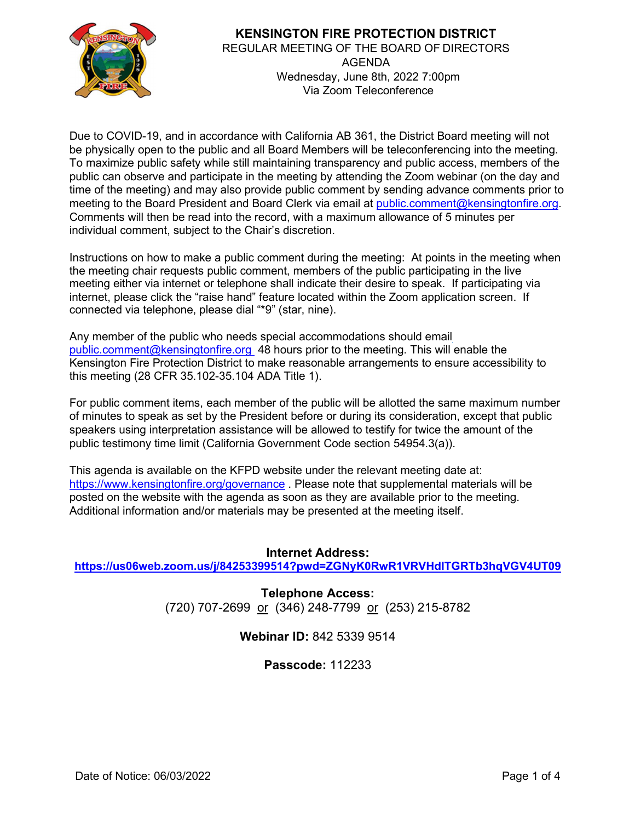

### **KENSINGTON FIRE PROTECTION DISTRICT**  REGULAR MEETING OF THE BOARD OF DIRECTORS AGENDA Wednesday, June 8th, 2022 7:00pm Via Zoom Teleconference

Due to COVID-19, and in accordance with California AB 361, the District Board meeting will not be physically open to the public and all Board Members will be teleconferencing into the meeting. To maximize public safety while still maintaining transparency and public access, members of the public can observe and participate in the meeting by attending the Zoom webinar (on the day and time of the meeting) and may also provide public comment by sending advance comments prior to meeting to the Board President and Board Clerk via email at [public.comment@kensingtonfire.org.](mailto:public.comment@kensingtonfire.org) Comments will then be read into the record, with a maximum allowance of 5 minutes per individual comment, subject to the Chair's discretion.

Instructions on how to make a public comment during the meeting: At points in the meeting when the meeting chair requests public comment, members of the public participating in the live meeting either via internet or telephone shall indicate their desire to speak. If participating via internet, please click the "raise hand" feature located within the Zoom application screen. If connected via telephone, please dial "\*9" (star, nine).

Any member of the public who needs special accommodations should email [public.comment@kensingtonfire.org](mailto:public.comment@kensingtonfire.org) 48 hours prior to the meeting. This will enable the Kensington Fire Protection District to make reasonable arrangements to ensure accessibility to this meeting (28 CFR 35.102-35.104 ADA Title 1).

For public comment items, each member of the public will be allotted the same maximum number of minutes to speak as set by the President before or during its consideration, except that public speakers using interpretation assistance will be allowed to testify for twice the amount of the public testimony time limit (California Government Code section 54954.3(a)).

This agenda is available on the KFPD website under the relevant meeting date at: <https://www.kensingtonfire.org/governance> . Please note that supplemental materials will be posted on the website with the agenda as soon as they are available prior to the meeting. Additional information and/or materials may be presented at the meeting itself.

# **Internet Address:**

**<https://us06web.zoom.us/j/84253399514?pwd=ZGNyK0RwR1VRVHdlTGRTb3hqVGV4UT09>**

**Telephone Access:** (720) 707-2699 or (346) 248-7799 or (253) 215-8782

# **Webinar ID:** 842 5339 9514

### **Passcode:** 112233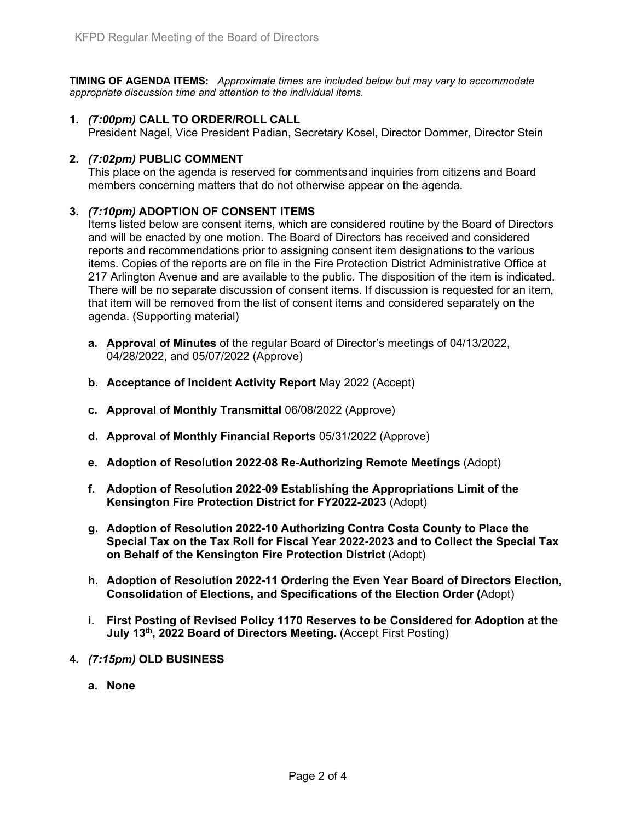**TIMING OF AGENDA ITEMS:** *Approximate times are included below but may vary to accommodate appropriate discussion time and attention to the individual items.*

### **1.** *(7:00pm)* **CALL TO ORDER/ROLL CALL**

President Nagel, Vice President Padian, Secretary Kosel, Director Dommer, Director Stein

#### **2.** *(7:02pm)* **PUBLIC COMMENT**

This place on the agenda is reserved for commentsand inquiries from citizens and Board members concerning matters that do not otherwise appear on the agenda.

#### **3.** *(7:10pm)* **ADOPTION OF CONSENT ITEMS**

Items listed below are consent items, which are considered routine by the Board of Directors and will be enacted by one motion. The Board of Directors has received and considered reports and recommendations prior to assigning consent item designations to the various items. Copies of the reports are on file in the Fire Protection District Administrative Office at 217 Arlington Avenue and are available to the public. The disposition of the item is indicated. There will be no separate discussion of consent items. If discussion is requested for an item, that item will be removed from the list of consent items and considered separately on the agenda. (Supporting material)

- **a. Approval of Minutes** of the regular Board of Director's meetings of 04/13/2022, 04/28/2022, and 05/07/2022 (Approve)
- **b. Acceptance of Incident Activity Report** May 2022 (Accept)
- **c. Approval of Monthly Transmittal** 06/08/2022 (Approve)
- **d. Approval of Monthly Financial Reports** 05/31/2022 (Approve)
- **e. Adoption of Resolution 2022-08 Re-Authorizing Remote Meetings** (Adopt)
- **f. Adoption of Resolution 2022-09 Establishing the Appropriations Limit of the Kensington Fire Protection District for FY2022-2023** (Adopt)
- **g. Adoption of Resolution 2022-10 Authorizing Contra Costa County to Place the Special Tax on the Tax Roll for Fiscal Year 2022-2023 and to Collect the Special Tax on Behalf of the Kensington Fire Protection District** (Adopt)
- **h. Adoption of Resolution 2022-11 Ordering the Even Year Board of Directors Election, Consolidation of Elections, and Specifications of the Election Order (**Adopt)
- **i. First Posting of Revised Policy 1170 Reserves to be Considered for Adoption at the July 13<sup>th</sup>, 2022 Board of Directors Meeting.** (Accept First Posting)
- **4.** *(7:15pm)* **OLD BUSINESS**
	- **a. None**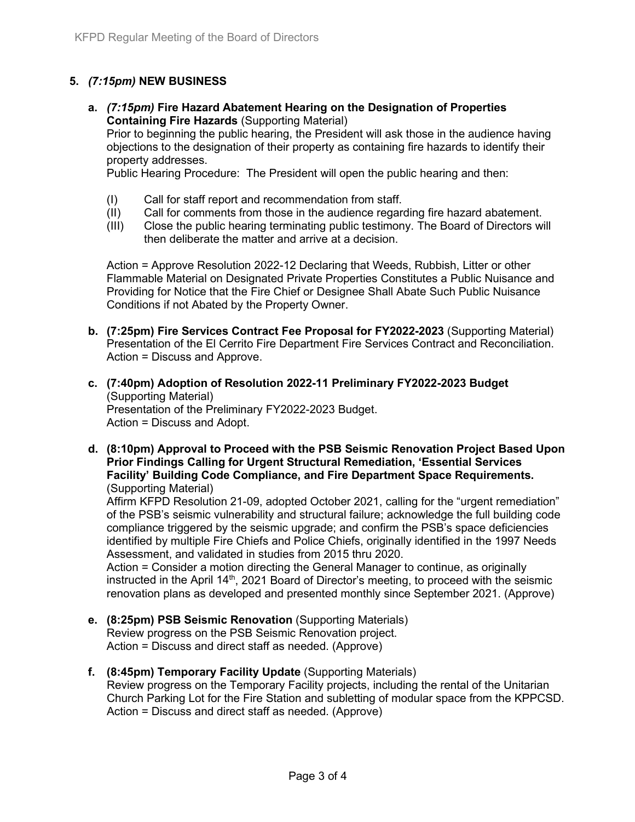### **5.** *(7:15pm)* **NEW BUSINESS**

**a.** *(7:15pm)* **Fire Hazard Abatement Hearing on the Designation of Properties Containing Fire Hazards** (Supporting Material) Prior to beginning the public hearing, the President will ask those in the audience having objections to the designation of their property as containing fire hazards to identify their property addresses.

Public Hearing Procedure: The President will open the public hearing and then:

- (I) Call for staff report and recommendation from staff.<br>(II) Call for comments from those in the audience regare
- Call for comments from those in the audience regarding fire hazard abatement.
- (III) Close the public hearing terminating public testimony. The Board of Directors will then deliberate the matter and arrive at a decision.

Action = Approve Resolution 2022-12 Declaring that Weeds, Rubbish, Litter or other Flammable Material on Designated Private Properties Constitutes a Public Nuisance and Providing for Notice that the Fire Chief or Designee Shall Abate Such Public Nuisance Conditions if not Abated by the Property Owner.

- **b. (7:25pm) Fire Services Contract Fee Proposal for FY2022-2023** (Supporting Material) Presentation of the El Cerrito Fire Department Fire Services Contract and Reconciliation. Action = Discuss and Approve.
- **c. (7:40pm) Adoption of Resolution 2022-11 Preliminary FY2022-2023 Budget** (Supporting Material) Presentation of the Preliminary FY2022-2023 Budget. Action = Discuss and Adopt.
- **d. (8:10pm) Approval to Proceed with the PSB Seismic Renovation Project Based Upon Prior Findings Calling for Urgent Structural Remediation, 'Essential Services Facility' Building Code Compliance, and Fire Department Space Requirements.**  (Supporting Material)

Affirm KFPD Resolution 21-09, adopted October 2021, calling for the "urgent remediation" of the PSB's seismic vulnerability and structural failure; acknowledge the full building code compliance triggered by the seismic upgrade; and confirm the PSB's space deficiencies identified by multiple Fire Chiefs and Police Chiefs, originally identified in the 1997 Needs Assessment, and validated in studies from 2015 thru 2020.

Action = Consider a motion directing the General Manager to continue, as originally instructed in the April 14<sup>th</sup>, 2021 Board of Director's meeting, to proceed with the seismic renovation plans as developed and presented monthly since September 2021. (Approve)

- **e. (8:25pm) PSB Seismic Renovation** (Supporting Materials) Review progress on the PSB Seismic Renovation project. Action = Discuss and direct staff as needed. (Approve)
- **f. (8:45pm) Temporary Facility Update** (Supporting Materials) Review progress on the Temporary Facility projects, including the rental of the Unitarian Church Parking Lot for the Fire Station and subletting of modular space from the KPPCSD. Action = Discuss and direct staff as needed. (Approve)